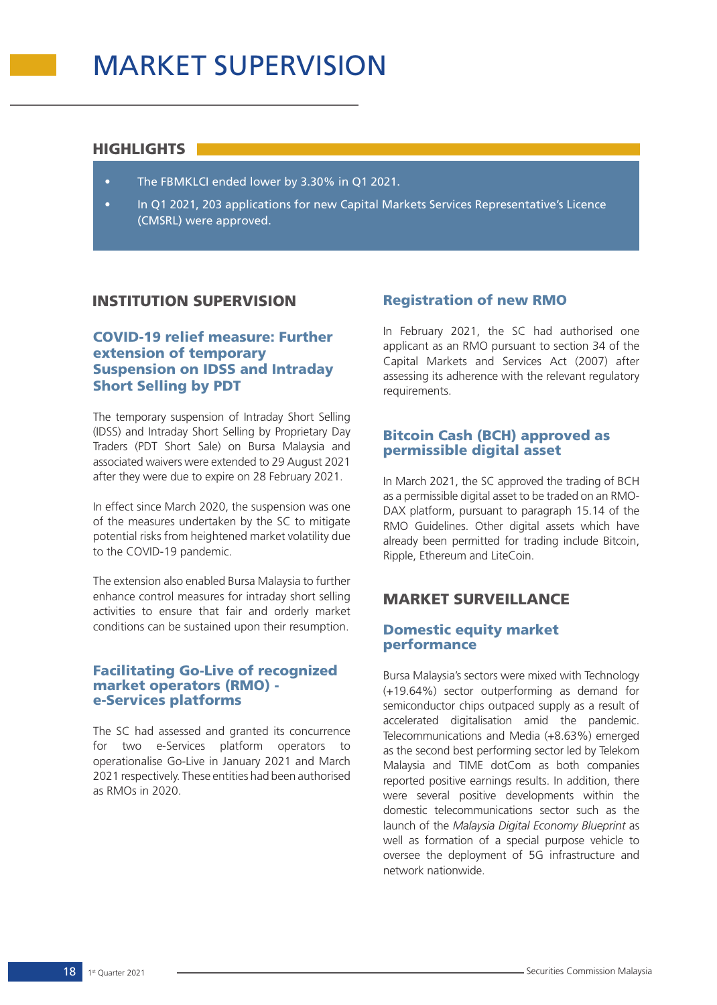### HIGHLIGHTS

- The FBMKLCI ended lower by 3.30% in Q1 2021.
- In Q1 2021, 203 applications for new Capital Markets Services Representative's Licence (CMSRL) were approved.

## INSTITUTION SUPERVISION

## COVID-19 relief measure: Further extension of temporary Suspension on IDSS and Intraday Short Selling by PDT

The temporary suspension of Intraday Short Selling (IDSS) and Intraday Short Selling by Proprietary Day Traders (PDT Short Sale) on Bursa Malaysia and associated waivers were extended to 29 August 2021 after they were due to expire on 28 February 2021.

In effect since March 2020, the suspension was one of the measures undertaken by the SC to mitigate potential risks from heightened market volatility due to the COVID-19 pandemic.

The extension also enabled Bursa Malaysia to further enhance control measures for intraday short selling activities to ensure that fair and orderly market conditions can be sustained upon their resumption.

### Facilitating Go-Live of recognized market operators (RMO) e-Services platforms

The SC had assessed and granted its concurrence for two e-Services platform operators to operationalise Go-Live in January 2021 and March 2021 respectively. These entities had been authorised as RMOs in 2020.

## Registration of new RMO

In February 2021, the SC had authorised one applicant as an RMO pursuant to section 34 of the Capital Markets and Services Act (2007) after assessing its adherence with the relevant regulatory requirements.

### Bitcoin Cash (BCH) approved as permissible digital asset

In March 2021, the SC approved the trading of BCH as a permissible digital asset to be traded on an RMO-DAX platform, pursuant to paragraph 15.14 of the RMO Guidelines. Other digital assets which have already been permitted for trading include Bitcoin, Ripple, Ethereum and LiteCoin.

# MARKET SURVEILLANCE

### Domestic equity market performance

Bursa Malaysia's sectors were mixed with Technology (+19.64%) sector outperforming as demand for semiconductor chips outpaced supply as a result of accelerated digitalisation amid the pandemic. Telecommunications and Media (+8.63%) emerged as the second best performing sector led by Telekom Malaysia and TIME dotCom as both companies reported positive earnings results. In addition, there were several positive developments within the domestic telecommunications sector such as the launch of the *Malaysia Digital Economy Blueprint* as well as formation of a special purpose vehicle to oversee the deployment of 5G infrastructure and network nationwide.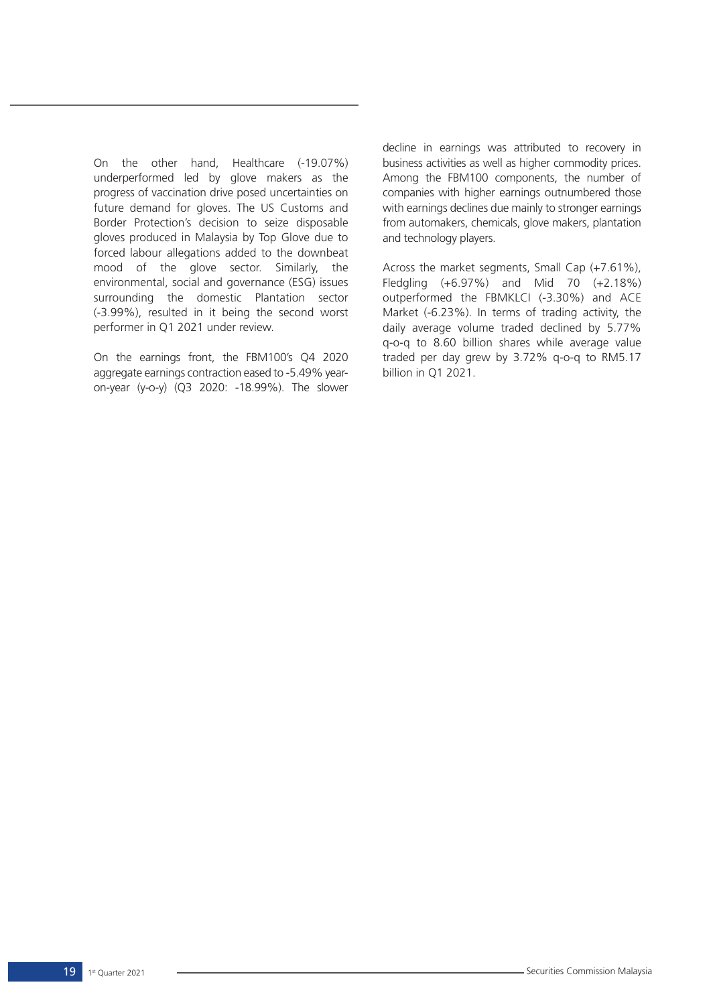On the other hand, Healthcare (-19.07%) underperformed led by glove makers as the progress of vaccination drive posed uncertainties on future demand for gloves. The US Customs and Border Protection's decision to seize disposable gloves produced in Malaysia by Top Glove due to forced labour allegations added to the downbeat mood of the glove sector. Similarly, the environmental, social and governance (ESG) issues surrounding the domestic Plantation sector (-3.99%), resulted in it being the second worst performer in Q1 2021 under review.

On the earnings front, the FBM100's Q4 2020 aggregate earnings contraction eased to -5.49% yearon-year (y-o-y) (Q3 2020: -18.99%). The slower decline in earnings was attributed to recovery in business activities as well as higher commodity prices. Among the FBM100 components, the number of companies with higher earnings outnumbered those with earnings declines due mainly to stronger earnings from automakers, chemicals, glove makers, plantation and technology players.

Across the market segments, Small Cap (+7.61%), Fledgling (+6.97%) and Mid 70 (+2.18%) outperformed the FBMKLCI (-3.30%) and ACE Market (-6.23%). In terms of trading activity, the daily average volume traded declined by 5.77% q-o-q to 8.60 billion shares while average value traded per day grew by 3.72% q-o-q to RM5.17 billion in Q1 2021.